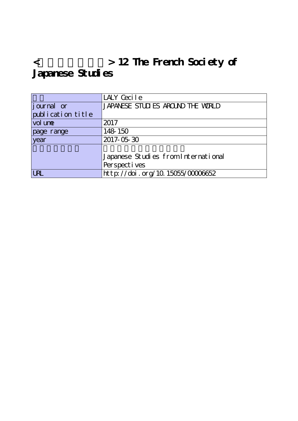## **<欧米の日本研究> 12 The French Society of** Japanese Studies

|                   | LALY Cecile                         |
|-------------------|-------------------------------------|
| journal or        | JAPANESE STUDIES AROUND THE WORLD   |
| publication title |                                     |
| vol une           | 2017                                |
| page range        | 148 150                             |
| year              | 2017-05-30                          |
|                   |                                     |
|                   | Japanese Studies from International |
|                   | Perspectives                        |
| <b>URL</b>        | http://doi.org/10.15055/00006652    |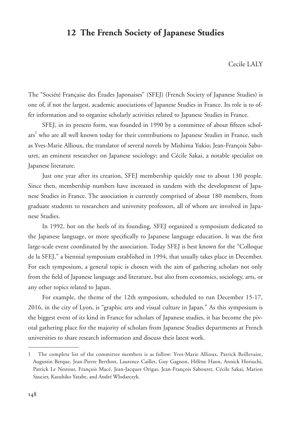## **12 The French Society of Japanese Studies**

Cecile LALY

The "Société Française des Études Japonaises" (SFEJ) (French Society of Japanese Studies) is one of, if not the largest, academic associations of Japanese Studies in France. Its role is to offer information and to organize scholarly activities related to Japanese Studies in France.

SFEJ, in its present form, was founded in 1990 by a committee of about fifteen scholars<sup>1</sup> who are all well known today for their contributions to Japanese Studies in France, such as Yves-Marie Allioux, the translator of several novels by Mishima Yukio; Jean-François Sabouret, an eminent researcher on Japanese sociology; and Cécile Sakai, a notable specialist on Japanese literature.

Just one year after its creation, SFEJ membership quickly rose to about 130 people. Since then, membership numbers have increased in tandem with the development of Japanese Studies in France. The association is currently comprised of about 180 members, from graduate students to researchers and university professors, all of whom are involved in Japanese Studies.

In 1992, hot on the heels of its founding, SFEJ organized a symposium dedicated to the Japanese language, or more specifically to Japanese language education. It was the first large-scale event coordinated by the association. Today SFEJ is best known for the "Colloque de la SFEJ," a biennial symposium established in 1994, that usually takes place in December. For each symposium, a general topic is chosen with the aim of gathering scholars not only from the field of Japanese language and literature, but also from economics, sociology, arts, or any other topics related to Japan.

For example, the theme of the 12th symposium, scheduled to run December 15-17, 2016, in the city of Lyon, is "graphic arts and visual culture in Japan." As this symposium is the biggest event of its kind in France for scholars of Japanese studies, it has become the pivotal gathering place for the majority of scholars from Japanese Studies departments at French universities to share research information and discuss their latest work.

<sup>1</sup> The complete list of the committee members is as follow: Yves-Marie Allioux, Patrick Beillevaire, Augustin Berque, Jean-Pierre Berthon, Laurence Caillet, Guy Gagnon, Hélène Haon, Annick Horiuchi, Patrick Le Nestour, François Macé, Jean-Jacques Origas, Jean-François Sabouret, Cécile Sakai, Marion Saucier, Kazuhiko Yatabe, and André Wlodarczyk.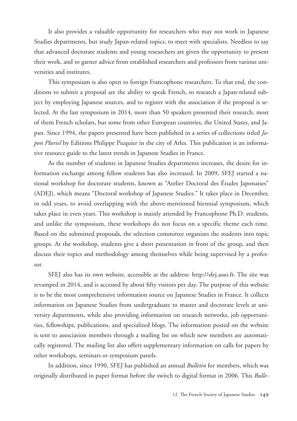It also provides a valuable opportunity for researchers who may not work in Japanese Studies departments, but study Japan-related topics, to meet with specialists. Needless to say that advanced doctorate students and young researchers are given the opportunity to present their work, and to garner advice from established researchers and professors from various universities and institutes.

This symposium is also open to foreign Francophone researchers. To that end, the conditions to submit a proposal are the ability to speak French, to research a Japan-related subject by employing Japanese sources, and to register with the association if the proposal is selected. At the last symposium in 2014, more than 50 speakers presented their research, most of them French scholars, but some from other European countries, the United States, and Japan. Since 1994, the papers presented have been published in a series of collections titled *Japon Pluriel* by Editions Philippe Picquier in the city of Arles. This publication is an informative resource guide to the latest trends in Japanese Studies in France.

As the number of students in Japanese Studies departments increases, the desire for information exchange among fellow students has also increased. In 2009, SFEJ started a national workshop for doctorate students, known as "Atelier Doctoral des Études Japonaises" (ADEJ), which means "Doctoral workshop of Japanese Studies." It takes place in December, in odd years, to avoid overlapping with the above-mentioned biennial symposium, which takes place in even years. This workshop is mainly attended by Francophone Ph.D. students, and unlike the symposium, these workshops do not focus on a specific theme each time. Based on the submitted proposals, the selection committee organizes the students into topic groups. At the workshop, students give a short presentation in front of the group, and then discuss their topics and methodology among themselves while being supervised by a professor.

SFEJ also has its own website, accessible at the address: http://sfej.asso.fr. The site was revamped in 2014, and is accessed by about fifty visitors per day. The purpose of this website is to be the most comprehensive information source on Japanese Studies in France. It collects information on Japanese Studies from undergraduate to master and doctorate levels at university departments, while also providing information on research networks, job opportunities, fellowships, publications, and specialized blogs. The information posted on the website is sent to association members through a mailing list on which new members are automatically registered. The mailing list also offers supplementary information on calls for papers by other workshops, seminars or symposium panels.

In addition, since 1990, SFEJ has published an annual *Bulletin* for members, which was originally distributed in paper format before the switch to digital format in 2006. This *Bulle-*